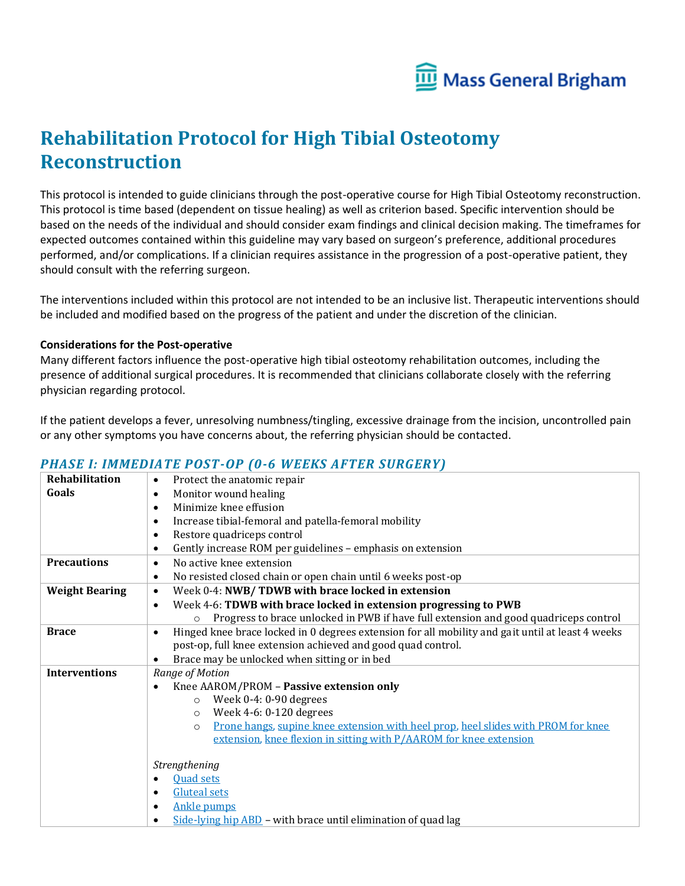

# **Rehabilitation Protocol for High Tibial Osteotomy Reconstruction**

This protocol is intended to guide clinicians through the post-operative course for High Tibial Osteotomy reconstruction. This protocol is time based (dependent on tissue healing) as well as criterion based. Specific intervention should be based on the needs of the individual and should consider exam findings and clinical decision making. The timeframes for expected outcomes contained within this guideline may vary based on surgeon's preference, additional procedures performed, and/or complications. If a clinician requires assistance in the progression of a post-operative patient, they should consult with the referring surgeon.

The interventions included within this protocol are not intended to be an inclusive list. Therapeutic interventions should be included and modified based on the progress of the patient and under the discretion of the clinician.

#### **Considerations for the Post-operative**

Many different factors influence the post-operative high tibial osteotomy rehabilitation outcomes, including the presence of additional surgical procedures. It is recommended that clinicians collaborate closely with the referring physician regarding protocol.

If the patient develops a fever, unresolving numbness/tingling, excessive drainage from the incision, uncontrolled pain or any other symptoms you have concerns about, the referring physician should be contacted.

#### *PHASE I: IMMEDIATE POST-OP (0-6 WEEKS AFTER SURGERY)*

| Rehabilitation        | Protect the anatomic repair<br>$\bullet$                                                                      |
|-----------------------|---------------------------------------------------------------------------------------------------------------|
| Goals                 | Monitor wound healing<br>$\bullet$                                                                            |
|                       | Minimize knee effusion<br>$\bullet$                                                                           |
|                       | Increase tibial-femoral and patella-femoral mobility<br>$\bullet$                                             |
|                       | Restore quadriceps control<br>$\bullet$                                                                       |
|                       | Gently increase ROM per guidelines - emphasis on extension<br>٠                                               |
| <b>Precautions</b>    | No active knee extension<br>$\bullet$                                                                         |
|                       | No resisted closed chain or open chain until 6 weeks post-op<br>$\bullet$                                     |
| <b>Weight Bearing</b> | Week 0-4: NWB/TDWB with brace locked in extension<br>$\bullet$                                                |
|                       | Week 4-6: TDWB with brace locked in extension progressing to PWB<br>$\bullet$                                 |
|                       | Progress to brace unlocked in PWB if have full extension and good quadriceps control                          |
| <b>Brace</b>          | Hinged knee brace locked in 0 degrees extension for all mobility and gait until at least 4 weeks<br>$\bullet$ |
|                       | post-op, full knee extension achieved and good quad control.                                                  |
|                       | Brace may be unlocked when sitting or in bed<br>٠                                                             |
| <b>Interventions</b>  | Range of Motion                                                                                               |
|                       | Knee AAROM/PROM - Passive extension only                                                                      |
|                       | Week $0-4:0-90$ degrees<br>$\circ$                                                                            |
|                       | Week 4-6: 0-120 degrees<br>$\circ$                                                                            |
|                       | Prone hangs, supine knee extension with heel prop, heel slides with PROM for knee<br>$\Omega$                 |
|                       | extension, knee flexion in sitting with P/AAROM for knee extension                                            |
|                       |                                                                                                               |
|                       | Strengthening                                                                                                 |
|                       | <b>Quad sets</b><br>$\bullet$                                                                                 |
|                       | <b>Gluteal sets</b><br>$\bullet$                                                                              |
|                       | <b>Ankle pumps</b><br>$\bullet$                                                                               |
|                       | Side-lying hip $\overline{ABD}$ – with brace until elimination of quad lag                                    |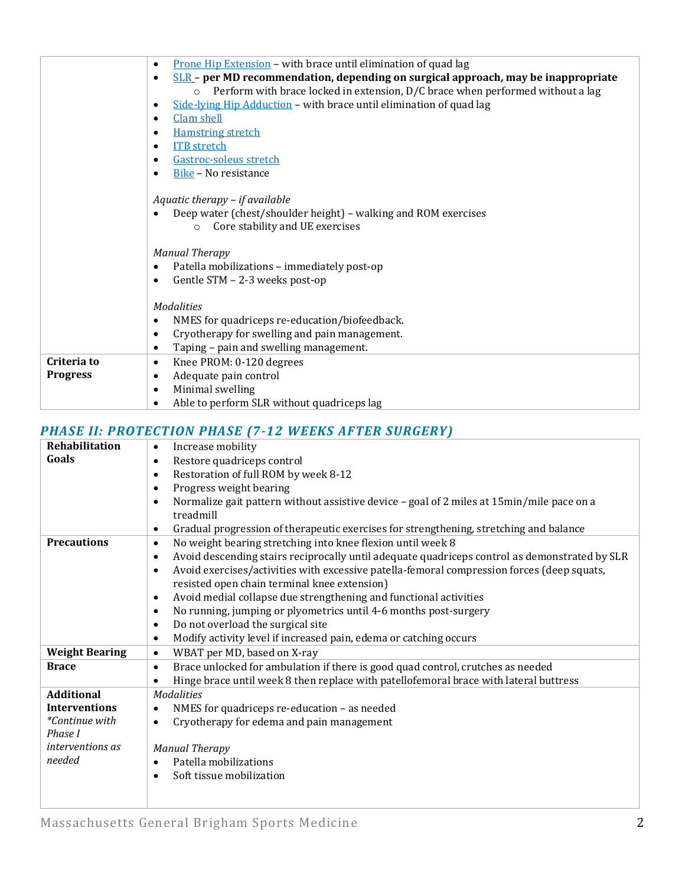|                 | Prone Hip Extension - with brace until elimination of quad lag<br>$\bullet$                                                                                                                   |
|-----------------|-----------------------------------------------------------------------------------------------------------------------------------------------------------------------------------------------|
|                 | $SLR$ – per MD recommendation, depending on surgical approach, may be inappropriate<br>$\bullet$<br>Perform with brace locked in extension, D/C brace when performed without a lag<br>$\circ$ |
|                 | Side-lying Hip Adduction - with brace until elimination of quad lag<br>$\bullet$                                                                                                              |
|                 | Clam shell<br>$\bullet$<br>$\bullet$                                                                                                                                                          |
|                 | <b>Hamstring stretch</b><br><b>ITB</b> stretch<br>٠                                                                                                                                           |
|                 | Gastroc-soleus stretch<br>٠                                                                                                                                                                   |
|                 | Bike - No resistance<br>$\bullet$                                                                                                                                                             |
|                 |                                                                                                                                                                                               |
|                 | Aquatic therapy - if available                                                                                                                                                                |
|                 | Deep water (chest/shoulder height) - walking and ROM exercises                                                                                                                                |
|                 | Core stability and UE exercises<br>$\circ$                                                                                                                                                    |
|                 |                                                                                                                                                                                               |
|                 | <b>Manual Therapy</b>                                                                                                                                                                         |
|                 | Patella mobilizations - immediately post-op<br>$\bullet$                                                                                                                                      |
|                 | Gentle STM - 2-3 weeks post-op<br>$\bullet$                                                                                                                                                   |
|                 |                                                                                                                                                                                               |
|                 | <b>Modalities</b>                                                                                                                                                                             |
|                 | NMES for quadriceps re-education/biofeedback.<br>$\bullet$                                                                                                                                    |
|                 | Cryotherapy for swelling and pain management.<br>$\bullet$                                                                                                                                    |
| Criteria to     | Taping - pain and swelling management.<br>$\bullet$                                                                                                                                           |
|                 | Knee PROM: 0-120 degrees<br>$\bullet$                                                                                                                                                         |
| <b>Progress</b> | Adequate pain control<br>$\bullet$                                                                                                                                                            |
|                 | Minimal swelling<br>$\bullet$                                                                                                                                                                 |
|                 | Able to perform SLR without quadriceps lag<br>$\bullet$                                                                                                                                       |

### *PHASE II: PROTECTION PHASE (7-12 WEEKS AFTER SURGERY)*

| Rehabilitation            | Increase mobility<br>$\bullet$                                                                                                                                                                                        |
|---------------------------|-----------------------------------------------------------------------------------------------------------------------------------------------------------------------------------------------------------------------|
| Goals                     | Restore quadriceps control<br>$\bullet$                                                                                                                                                                               |
|                           | Restoration of full ROM by week 8-12<br>$\bullet$                                                                                                                                                                     |
|                           | Progress weight bearing<br>$\bullet$                                                                                                                                                                                  |
|                           | Normalize gait pattern without assistive device - goal of 2 miles at 15 min/mile pace on a<br>$\bullet$<br>treadmill                                                                                                  |
|                           | Gradual progression of therapeutic exercises for strengthening, stretching and balance<br>$\bullet$                                                                                                                   |
| <b>Precautions</b>        | No weight bearing stretching into knee flexion until week 8<br>$\bullet$                                                                                                                                              |
|                           | Avoid descending stairs reciprocally until adequate quadriceps control as demonstrated by SLR<br>$\bullet$<br>Avoid exercises/activities with excessive patella-femoral compression forces (deep squats,<br>$\bullet$ |
|                           | resisted open chain terminal knee extension)                                                                                                                                                                          |
|                           | Avoid medial collapse due strengthening and functional activities<br>$\bullet$                                                                                                                                        |
|                           | No running, jumping or plyometrics until 4-6 months post-surgery<br>$\bullet$                                                                                                                                         |
|                           | Do not overload the surgical site<br>$\bullet$                                                                                                                                                                        |
|                           | Modify activity level if increased pain, edema or catching occurs<br>$\bullet$                                                                                                                                        |
| <b>Weight Bearing</b>     | WBAT per MD, based on X-ray<br>$\bullet$                                                                                                                                                                              |
| <b>Brace</b>              | Brace unlocked for ambulation if there is good quad control, crutches as needed<br>$\bullet$                                                                                                                          |
|                           | Hinge brace until week 8 then replace with patellofemoral brace with lateral buttress<br>$\bullet$                                                                                                                    |
| <b>Additional</b>         | <b>Modalities</b>                                                                                                                                                                                                     |
| <b>Interventions</b>      | NMES for quadriceps re-education - as needed<br>$\bullet$                                                                                                                                                             |
| *Continue with<br>Phase I | Cryotherapy for edema and pain management<br>$\bullet$                                                                                                                                                                |
| <i>interventions as</i>   | <b>Manual Therapy</b>                                                                                                                                                                                                 |
| needed                    | Patella mobilizations<br>$\bullet$                                                                                                                                                                                    |
|                           | Soft tissue mobilization<br>$\bullet$                                                                                                                                                                                 |
|                           |                                                                                                                                                                                                                       |
|                           |                                                                                                                                                                                                                       |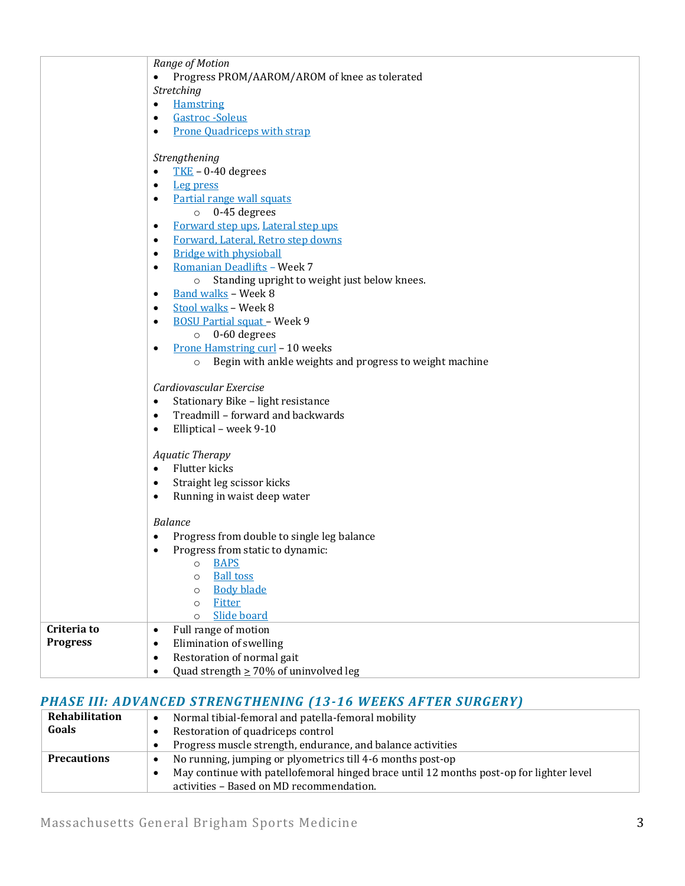|                 | Range of Motion                                                    |
|-----------------|--------------------------------------------------------------------|
|                 | Progress PROM/AAROM/AROM of knee as tolerated<br>٠                 |
|                 | Stretching                                                         |
|                 | <b>Hamstring</b><br>$\bullet$                                      |
|                 | Gastroc - Soleus<br>$\bullet$                                      |
|                 | <b>Prone Quadriceps with strap</b><br>$\bullet$                    |
|                 |                                                                    |
|                 | Strengthening                                                      |
|                 | $TKE - 0-40$ degrees<br>$\bullet$                                  |
|                 | <b>Leg press</b><br>$\bullet$                                      |
|                 | Partial range wall squats<br>$\bullet$                             |
|                 | 0-45 degrees<br>$\circ$                                            |
|                 | Forward step ups, Lateral step ups<br>$\bullet$                    |
|                 | Forward, Lateral, Retro step downs<br>$\bullet$                    |
|                 | <b>Bridge with physioball</b><br>$\bullet$                         |
|                 | Romanian Deadlifts - Week 7<br>$\bullet$                           |
|                 | Standing upright to weight just below knees.<br>$\circ$            |
|                 | Band walks - Week 8<br>$\bullet$                                   |
|                 | Stool walks - Week 8<br>$\bullet$                                  |
|                 | <b>BOSU Partial squat - Week 9</b><br>$\bullet$                    |
|                 | 0-60 degrees<br>$\circ$                                            |
|                 | Prone Hamstring curl - 10 weeks<br>$\bullet$                       |
|                 | Begin with ankle weights and progress to weight machine<br>$\circ$ |
|                 |                                                                    |
|                 | Cardiovascular Exercise                                            |
|                 | Stationary Bike - light resistance<br>$\bullet$                    |
|                 | Treadmill - forward and backwards<br>$\bullet$                     |
|                 | Elliptical - week 9-10<br>$\bullet$                                |
|                 |                                                                    |
|                 | <b>Aquatic Therapy</b>                                             |
|                 | Flutter kicks<br>$\bullet$                                         |
|                 | Straight leg scissor kicks<br>$\bullet$                            |
|                 | Running in waist deep water<br>$\bullet$                           |
|                 |                                                                    |
|                 | <b>Balance</b>                                                     |
|                 | Progress from double to single leg balance<br>٠                    |
|                 | Progress from static to dynamic:                                   |
|                 | <b>BAPS</b><br>$\circ$                                             |
|                 | <b>Ball toss</b><br>$\circ$                                        |
|                 | <b>Body blade</b><br>$\circ$                                       |
|                 | Fitter<br>$\circ$                                                  |
|                 | Slide board<br>$\circ$                                             |
| Criteria to     | Full range of motion<br>$\bullet$                                  |
| <b>Progress</b> | Elimination of swelling<br>$\bullet$                               |
|                 | Restoration of normal gait<br>$\bullet$                            |
|                 | Quad strength $\geq 70\%$ of uninvolved leg<br>$\bullet$           |
|                 |                                                                    |

## *PHASE III: ADVANCED STRENGTHENING (13-16 WEEKS AFTER SURGERY)*

| Rehabilitation     | Normal tibial-femoral and patella-femoral mobility                                      |
|--------------------|-----------------------------------------------------------------------------------------|
| Goals              | Restoration of quadriceps control                                                       |
|                    | Progress muscle strength, endurance, and balance activities                             |
| <b>Precautions</b> | No running, jumping or plyometrics till 4-6 months post-op<br>$\bullet$                 |
|                    | May continue with patellofemoral hinged brace until 12 months post-op for lighter level |
|                    | activities - Based on MD recommendation.                                                |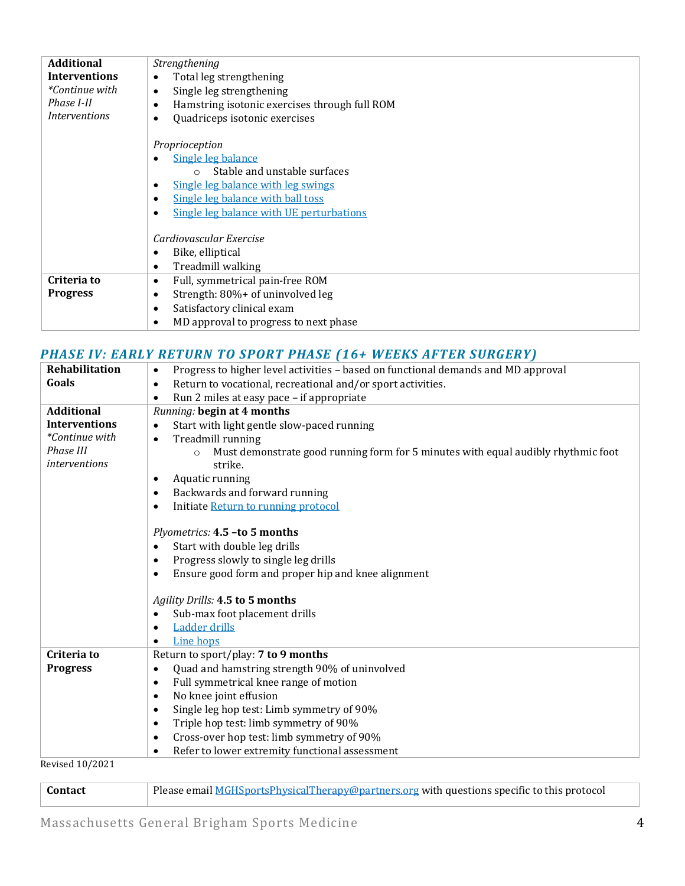| <b>Additional</b>     | Strengthening                                              |
|-----------------------|------------------------------------------------------------|
| <b>Interventions</b>  | Total leg strengthening<br>$\bullet$                       |
| <i>*Continue with</i> | Single leg strengthening<br>$\bullet$                      |
| Phase I-II            | Hamstring isotonic exercises through full ROM<br>$\bullet$ |
| <i>Interventions</i>  | Quadriceps isotonic exercises<br>$\bullet$                 |
|                       | Proprioception                                             |
|                       | Single leg balance<br>$\bullet$                            |
|                       | Stable and unstable surfaces<br>$\bigcirc$                 |
|                       | <u>Single leg balance with leg swings</u><br>٠             |
|                       | Single leg balance with ball toss<br>$\bullet$             |
|                       | Single leg balance with UE perturbations<br>$\bullet$      |
|                       | Cardiovascular Exercise                                    |
|                       | Bike, elliptical<br>$\bullet$                              |
|                       | Treadmill walking<br>$\bullet$                             |
| Criteria to           | Full, symmetrical pain-free ROM<br>$\bullet$               |
| <b>Progress</b>       | Strength: 80%+ of uninvolved leg<br>$\bullet$              |
|                       | Satisfactory clinical exam<br>$\bullet$                    |
|                       | MD approval to progress to next phase<br>$\bullet$         |

## *PHASE IV: EARLY RETURN TO SPORT PHASE (16+ WEEKS AFTER SURGERY)*

| Rehabilitation         | Progress to higher level activities - based on functional demands and MD approval<br>$\bullet$ |
|------------------------|------------------------------------------------------------------------------------------------|
| Goals                  | Return to vocational, recreational and/or sport activities.<br>$\bullet$                       |
|                        | Run 2 miles at easy pace - if appropriate<br>$\bullet$                                         |
| <b>Additional</b>      | Running: begin at 4 months                                                                     |
| <b>Interventions</b>   | Start with light gentle slow-paced running                                                     |
| *Continue with         | Treadmill running<br>$\bullet$                                                                 |
| Phase III              | Must demonstrate good running form for 5 minutes with equal audibly rhythmic foot              |
| <i>interventions</i>   | strike.                                                                                        |
|                        | Aquatic running<br>$\bullet$                                                                   |
|                        | Backwards and forward running<br>$\bullet$                                                     |
|                        | Initiate Return to running protocol<br>٠                                                       |
|                        |                                                                                                |
|                        | Plyometrics: 4.5 -to 5 months                                                                  |
|                        | Start with double leg drills<br>$\bullet$                                                      |
|                        | Progress slowly to single leg drills<br>$\bullet$                                              |
|                        | Ensure good form and proper hip and knee alignment<br>$\bullet$                                |
|                        |                                                                                                |
|                        | Agility Drills: 4.5 to 5 months                                                                |
|                        | Sub-max foot placement drills<br>$\bullet$                                                     |
|                        | <b>Ladder drills</b><br>$\bullet$                                                              |
|                        | Line hops<br>$\bullet$                                                                         |
| Criteria to            | Return to sport/play: 7 to 9 months                                                            |
| <b>Progress</b>        | Quad and hamstring strength 90% of uninvolved<br>$\bullet$                                     |
|                        | Full symmetrical knee range of motion<br>$\bullet$                                             |
|                        | No knee joint effusion<br>$\bullet$                                                            |
|                        | Single leg hop test: Limb symmetry of 90%<br>$\bullet$                                         |
|                        | Triple hop test: limb symmetry of 90%<br>$\bullet$                                             |
|                        | Cross-over hop test: limb symmetry of 90%<br>$\bullet$                                         |
|                        | Refer to lower extremity functional assessment<br>$\bullet$                                    |
| <b>Revised 10/2021</b> |                                                                                                |

Revised 10/2021

| <b>Contact</b> | Please email MGHSportsPhysicalTherapy@partners.org with questions specific to this protocol |
|----------------|---------------------------------------------------------------------------------------------|
|                |                                                                                             |